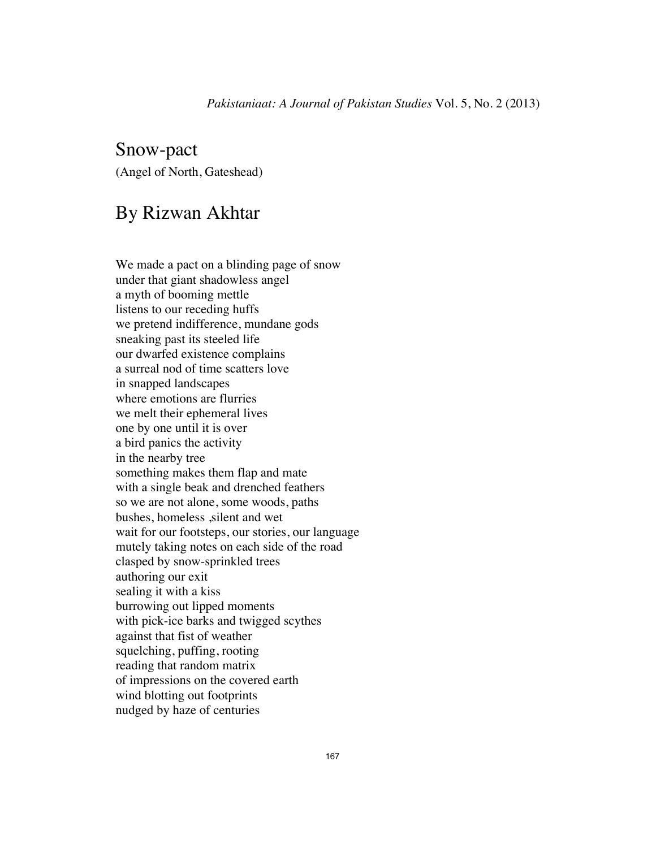## Snow-pact (Angel of North, Gateshead)

## By Rizwan Akhtar

We made a pact on a blinding page of snow under that giant shadowless angel a myth of booming mettle listens to our receding huffs we pretend indifference, mundane gods sneaking past its steeled life our dwarfed existence complains a surreal nod of time scatters love in snapped landscapes where emotions are flurries we melt their ephemeral lives one by one until it is over a bird panics the activity in the nearby tree something makes them flap and mate with a single beak and drenched feathers so we are not alone, some woods, paths bushes, homeless , silent and wet wait for our footsteps, our stories, our language mutely taking notes on each side of the road clasped by snow-sprinkled trees authoring our exit sealing it with a kiss burrowing out lipped moments with pick-ice barks and twigged scythes against that fist of weather squelching, puffing, rooting reading that random matrix of impressions on the covered earth wind blotting out footprints nudged by haze of centuries